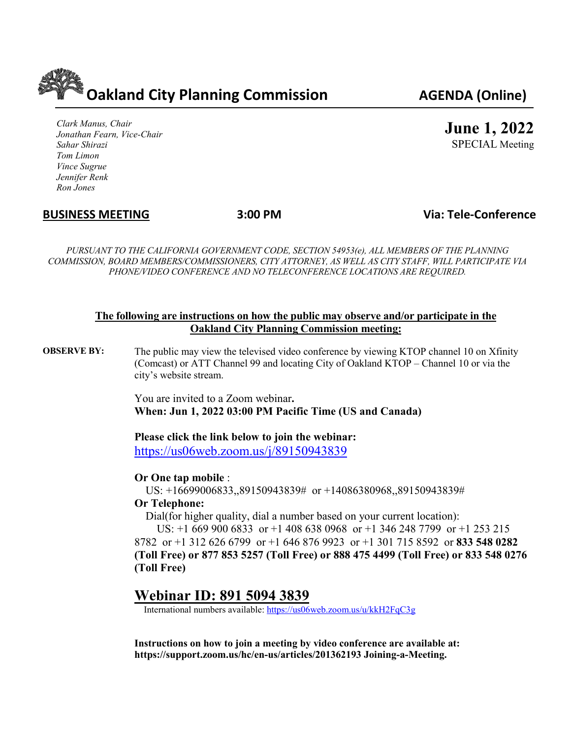**Oakland City Planning Commission AGENDA (Online)**

*Clark Manus, Chair Jonathan Fearn, Vice-Chair Sahar Shirazi Tom Limon Vince Sugrue Jennifer Renk Ron Jones*

**June 1, 2022**

SPECIAL Meeting

## **BUSINESS MEETING 3:00 PM Via: Tele-Conference**

*PURSUANT TO THE CALIFORNIA GOVERNMENT CODE, SECTION 54953(e), ALL MEMBERS OF THE PLANNING COMMISSION, BOARD MEMBERS/COMMISSIONERS, CITY ATTORNEY, AS WELL AS CITY STAFF, WILL PARTICIPATE VIA PHONE/VIDEO CONFERENCE AND NO TELECONFERENCE LOCATIONS ARE REQUIRED.*

#### **The following are instructions on how the public may observe and/or participate in the Oakland City Planning Commission meeting:**

**OBSERVE BY:** The public may view the televised video conference by viewing KTOP channel 10 on Xfinity (Comcast) or ATT Channel 99 and locating City of Oakland KTOP – Channel 10 or via the city's website stream.

> You are invited to a Zoom webinar**. When: Jun 1, 2022 03:00 PM Pacific Time (US and Canada)**

**Please click the link below to join the webinar:**

<https://us06web.zoom.us/j/89150943839>

#### **Or One tap mobile** :

US: +16699006833,,89150943839# or +14086380968,,89150943839#

## **Or Telephone:**

Dial(for higher quality, dial a number based on your current location):

 US: +1 669 900 6833 or +1 408 638 0968 or +1 346 248 7799 or +1 253 215 8782 or +1 312 626 6799 or +1 646 876 9923 or +1 301 715 8592 or **833 548 0282 (Toll Free) or 877 853 5257 (Toll Free) or 888 475 4499 (Toll Free) or 833 548 0276 (Toll Free)**

# **Webinar ID: 891 5094 3839**

International numbers available:<https://us06web.zoom.us/u/kkH2FqC3g>

**Instructions on how to join a meeting by video conference are available at: https://support.zoom.us/hc/en-us/articles/201362193 Joining-a-Meeting.**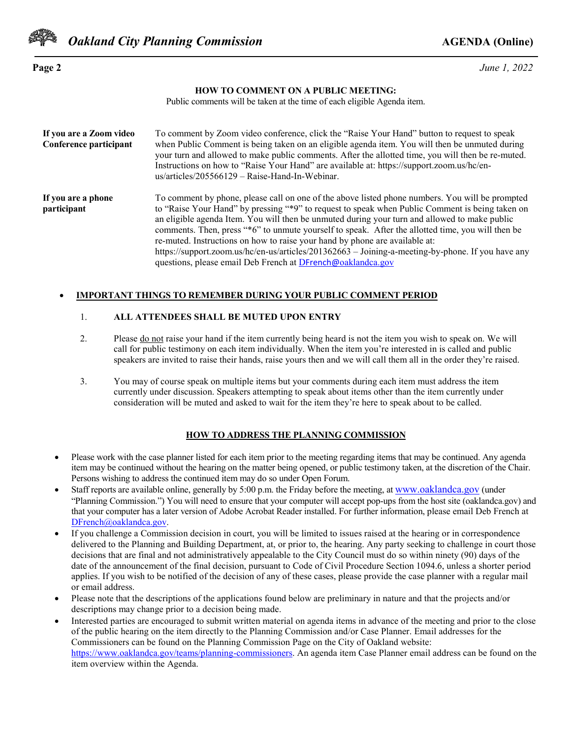

**Page 2** *June 1, 2022* 

#### **HOW TO COMMENT ON A PUBLIC MEETING:**

Public comments will be taken at the time of each eligible Agenda item.

| If you are a Zoom video<br>Conference participant | To comment by Zoom video conference, click the "Raise Your Hand" button to request to speak<br>when Public Comment is being taken on an eligible agenda item. You will then be unmuted during<br>your turn and allowed to make public comments. After the allotted time, you will then be re-muted.<br>Instructions on how to "Raise Your Hand" are available at: https://support.zoom.us/hc/en-<br>$us/articles/205566129 - Raise-Hand-In-Webinar.$                                                                                                                                                                                                        |
|---------------------------------------------------|-------------------------------------------------------------------------------------------------------------------------------------------------------------------------------------------------------------------------------------------------------------------------------------------------------------------------------------------------------------------------------------------------------------------------------------------------------------------------------------------------------------------------------------------------------------------------------------------------------------------------------------------------------------|
| If you are a phone<br>participant                 | To comment by phone, please call on one of the above listed phone numbers. You will be prompted<br>to "Raise Your Hand" by pressing "*9" to request to speak when Public Comment is being taken on<br>an eligible agenda Item. You will then be unmuted during your turn and allowed to make public<br>comments. Then, press "*6" to unmute yourself to speak. After the allotted time, you will then be<br>re-muted. Instructions on how to raise your hand by phone are available at:<br>https://support.zoom.us/hc/en-us/articles/201362663 – Joining-a-meeting-by-phone. If you have any<br>questions, please email Deb French at DFrench@oaklandca.gov |

#### • **IMPORTANT THINGS TO REMEMBER DURING YOUR PUBLIC COMMENT PERIOD**

#### 1. **ALL ATTENDEES SHALL BE MUTED UPON ENTRY**

- 2. Please <u>do not</u> raise your hand if the item currently being heard is not the item you wish to speak on. We will call for public testimony on each item individually. When the item you're interested in is called and public speakers are invited to raise their hands, raise yours then and we will call them all in the order they're raised.
- 3. You may of course speak on multiple items but your comments during each item must address the item currently under discussion. Speakers attempting to speak about items other than the item currently under consideration will be muted and asked to wait for the item they're here to speak about to be called.

#### **HOW TO ADDRESS THE PLANNING COMMISSION**

- Please work with the case planner listed for each item prior to the meeting regarding items that may be continued. Any agenda item may be continued without the hearing on the matter being opened, or public testimony taken, at the discretion of the Chair. Persons wishing to address the continued item may do so under Open Forum.
- Staff reports are available online, generally by 5:00 p.m. the Friday before the meeting, at [www.oaklandca.gov](http://www.oaklandca.gov/) (under "Planning Commission.") You will need to ensure that your computer will accept pop-ups from the host site (oaklandca.gov) and that your computer has a later version of Adobe Acrobat Reader installed. For further information, please email Deb French at [DFrench@oaklandca.gov.](mailto:DFrench@oaklandca.gov)
- If you challenge a Commission decision in court, you will be limited to issues raised at the hearing or in correspondence delivered to the Planning and Building Department, at, or prior to, the hearing. Any party seeking to challenge in court those decisions that are final and not administratively appealable to the City Council must do so within ninety (90) days of the date of the announcement of the final decision, pursuant to Code of Civil Procedure Section 1094.6, unless a shorter period applies. If you wish to be notified of the decision of any of these cases, please provide the case planner with a regular mail or email address.
- Please note that the descriptions of the applications found below are preliminary in nature and that the projects and/or descriptions may change prior to a decision being made.
- Interested parties are encouraged to submit written material on agenda items in advance of the meeting and prior to the close of the public hearing on the item directly to the Planning Commission and/or Case Planner. Email addresses for the Commissioners can be found on the Planning Commission Page on the City of Oakland website: [https://www.oaklandca.gov/teams/planning-commissioners.](https://www.oaklandca.gov/teams/planning-commissioners) An agenda item Case Planner email address can be found on the item overview within the Agenda.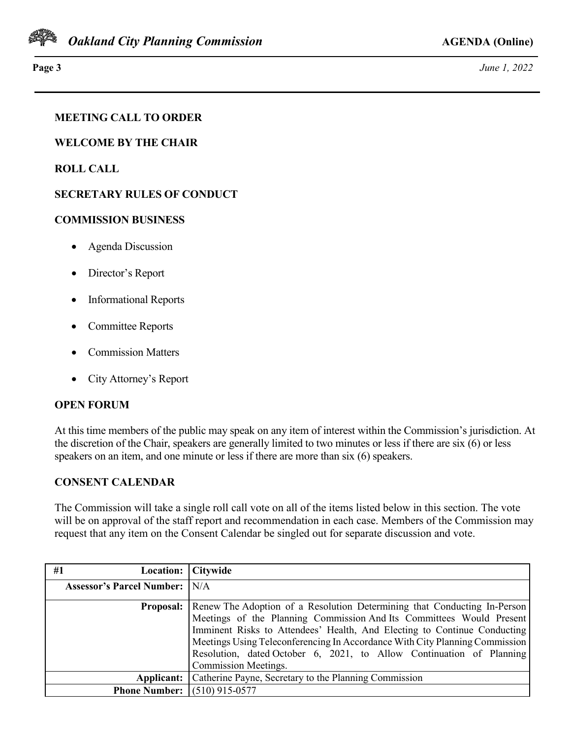

**Page 3** *June 1, 2022*

## **MEETING CALL TO ORDER**

**WELCOME BY THE CHAIR**

**ROLL CALL**

## **SECRETARY RULES OF CONDUCT**

## **COMMISSION BUSINESS**

- Agenda Discussion
- Director's Report
- Informational Reports
- Committee Reports
- Commission Matters
- City Attorney's Report

## **OPEN FORUM**

At this time members of the public may speak on any item of interest within the Commission's jurisdiction. At the discretion of the Chair, speakers are generally limited to two minutes or less if there are six (6) or less speakers on an item, and one minute or less if there are more than six (6) speakers.

## **CONSENT CALENDAR**

The Commission will take a single roll call vote on all of the items listed below in this section. The vote will be on approval of the staff report and recommendation in each case. Members of the Commission may request that any item on the Consent Calendar be singled out for separate discussion and vote.

| #1<br>Location:                      | Citywide                                                                    |
|--------------------------------------|-----------------------------------------------------------------------------|
| <b>Assessor's Parcel Number:</b> N/A |                                                                             |
| <b>Proposal:</b>                     | Renew The Adoption of a Resolution Determining that Conducting In-Person    |
|                                      | Meetings of the Planning Commission And Its Committees Would Present        |
|                                      | Imminent Risks to Attendees' Health, And Electing to Continue Conducting    |
|                                      | Meetings Using Teleconferencing In Accordance With City Planning Commission |
|                                      | Resolution, dated October 6, 2021, to Allow Continuation of Planning        |
|                                      | Commission Meetings.                                                        |
| Applicant:                           | Catherine Payne, Secretary to the Planning Commission                       |
| <b>Phone Number:</b>                 | $(510)$ 915-0577                                                            |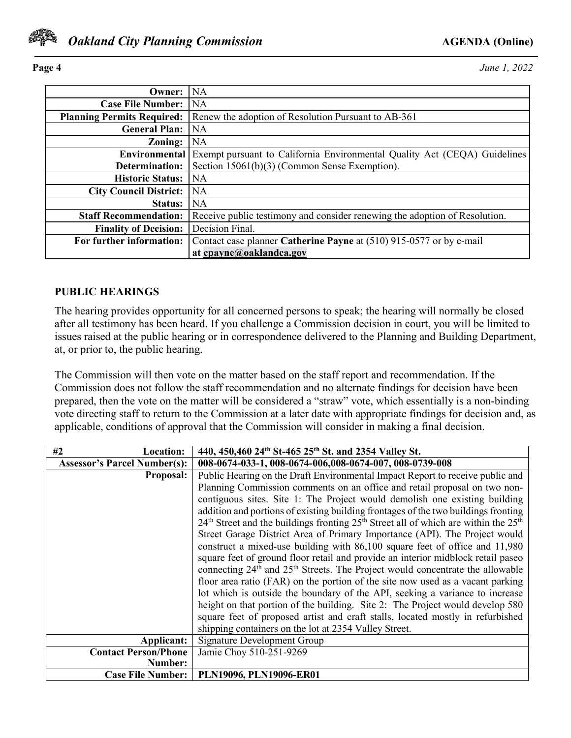

**Page 4** *June 1, 2022* 

| Owner:                            | NA.                                                                        |
|-----------------------------------|----------------------------------------------------------------------------|
| <b>Case File Number:</b>          | <b>NA</b>                                                                  |
| <b>Planning Permits Required:</b> | Renew the adoption of Resolution Pursuant to AB-361                        |
| <b>General Plan:</b>              | <b>NA</b>                                                                  |
| Zoning:                           | <b>NA</b>                                                                  |
| Environmental                     | Exempt pursuant to California Environmental Quality Act (CEQA) Guidelines  |
| Determination:                    | Section 15061(b)(3) (Common Sense Exemption).                              |
| <b>Historic Status:</b>           | <b>NA</b>                                                                  |
| <b>City Council District:</b>     | <b>NA</b>                                                                  |
| <b>Status:</b>                    | <b>NA</b>                                                                  |
| <b>Staff Recommendation:</b>      | Receive public testimony and consider renewing the adoption of Resolution. |
| <b>Finality of Decision:</b>      | Decision Final.                                                            |
| For further information:          | Contact case planner Catherine Payne at (510) 915-0577 or by e-mail        |
|                                   | at cpayne@oaklandca.gov                                                    |

## **PUBLIC HEARINGS**

The hearing provides opportunity for all concerned persons to speak; the hearing will normally be closed after all testimony has been heard. If you challenge a Commission decision in court, you will be limited to issues raised at the public hearing or in correspondence delivered to the Planning and Building Department, at, or prior to, the public hearing.

The Commission will then vote on the matter based on the staff report and recommendation. If the Commission does not follow the staff recommendation and no alternate findings for decision have been prepared, then the vote on the matter will be considered a "straw" vote, which essentially is a non-binding vote directing staff to return to the Commission at a later date with appropriate findings for decision and, as applicable, conditions of approval that the Commission will consider in making a final decision.

| <b>Location:</b><br>#2              | 440, 450, 460 24th St-465 25th St. and 2354 Valley St.                                                |
|-------------------------------------|-------------------------------------------------------------------------------------------------------|
| <b>Assessor's Parcel Number(s):</b> | 008-0674-033-1, 008-0674-006,008-0674-007, 008-0739-008                                               |
| <b>Proposal:</b>                    | Public Hearing on the Draft Environmental Impact Report to receive public and                         |
|                                     | Planning Commission comments on an office and retail proposal on two non-                             |
|                                     | contiguous sites. Site 1: The Project would demolish one existing building                            |
|                                     | addition and portions of existing building frontages of the two buildings fronting                    |
|                                     | $24th$ Street and the buildings fronting $25th$ Street all of which are within the $25th$             |
|                                     | Street Garage District Area of Primary Importance (API). The Project would                            |
|                                     | construct a mixed-use building with 86,100 square feet of office and 11,980                           |
|                                     | square feet of ground floor retail and provide an interior midblock retail paseo                      |
|                                     | connecting 24 <sup>th</sup> and 25 <sup>th</sup> Streets. The Project would concentrate the allowable |
|                                     | floor area ratio (FAR) on the portion of the site now used as a vacant parking                        |
|                                     | lot which is outside the boundary of the API, seeking a variance to increase                          |
|                                     | height on that portion of the building. Site 2: The Project would develop 580                         |
|                                     | square feet of proposed artist and craft stalls, located mostly in refurbished                        |
|                                     | shipping containers on the lot at 2354 Valley Street.                                                 |
| Applicant:                          | <b>Signature Development Group</b>                                                                    |
| <b>Contact Person/Phone</b>         | Jamie Choy 510-251-9269                                                                               |
| Number:                             |                                                                                                       |
| <b>Case File Number:</b>            | PLN19096, PLN19096-ER01                                                                               |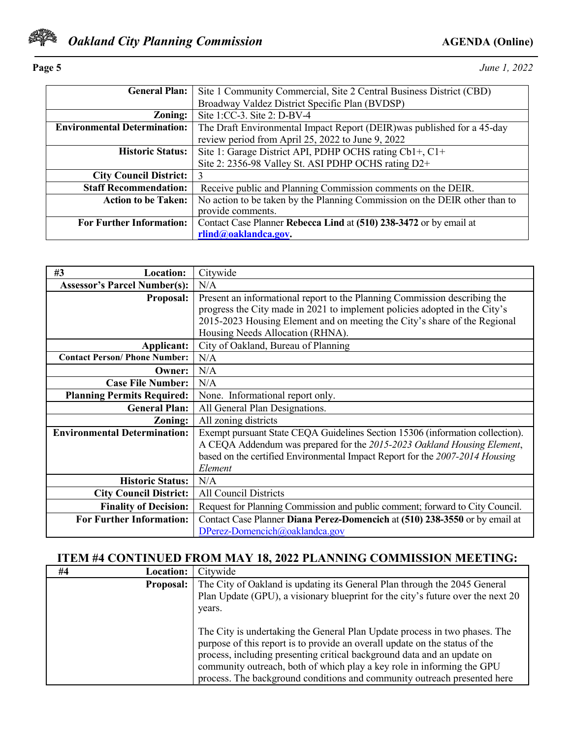

**Page 5** *June 1, 2022* 

| <b>General Plan:</b>                | Site 1 Community Commercial, Site 2 Central Business District (CBD)        |  |  |
|-------------------------------------|----------------------------------------------------------------------------|--|--|
|                                     | Broadway Valdez District Specific Plan (BVDSP)                             |  |  |
| Zoning:                             | Site 1:CC-3. Site 2: D-BV-4                                                |  |  |
| <b>Environmental Determination:</b> | The Draft Environmental Impact Report (DEIR) was published for a 45-day    |  |  |
|                                     | review period from April 25, 2022 to June 9, 2022                          |  |  |
| <b>Historic Status:</b>             | Site 1: Garage District API, PDHP OCHS rating Cb1+, C1+                    |  |  |
|                                     | Site 2: 2356-98 Valley St. ASI PDHP OCHS rating D2+                        |  |  |
| <b>City Council District:</b>       | 3                                                                          |  |  |
| <b>Staff Recommendation:</b>        | Receive public and Planning Commission comments on the DEIR.               |  |  |
| <b>Action to be Taken:</b>          | No action to be taken by the Planning Commission on the DEIR other than to |  |  |
|                                     | provide comments.                                                          |  |  |
| <b>For Further Information:</b>     | Contact Case Planner Rebecca Lind at (510) 238-3472 or by email at         |  |  |
|                                     | rlind@oaklandca.gov.                                                       |  |  |

| #3<br><b>Location:</b>               | Citywide                                                                      |
|--------------------------------------|-------------------------------------------------------------------------------|
| <b>Assessor's Parcel Number(s):</b>  | N/A                                                                           |
| <b>Proposal:</b>                     | Present an informational report to the Planning Commission describing the     |
|                                      | progress the City made in 2021 to implement policies adopted in the City's    |
|                                      | 2015-2023 Housing Element and on meeting the City's share of the Regional     |
|                                      | Housing Needs Allocation (RHNA).                                              |
| Applicant:                           | City of Oakland, Bureau of Planning                                           |
| <b>Contact Person/ Phone Number:</b> | N/A                                                                           |
| Owner:                               | N/A                                                                           |
| <b>Case File Number:</b>             | N/A                                                                           |
| <b>Planning Permits Required:</b>    | None. Informational report only.                                              |
| <b>General Plan:</b>                 | All General Plan Designations.                                                |
| Zoning:                              | All zoning districts                                                          |
| <b>Environmental Determination:</b>  | Exempt pursuant State CEQA Guidelines Section 15306 (information collection). |
|                                      | A CEQA Addendum was prepared for the 2015-2023 Oakland Housing Element,       |
|                                      | based on the certified Environmental Impact Report for the 2007-2014 Housing  |
|                                      | Element                                                                       |
| <b>Historic Status:</b>              | N/A                                                                           |
| <b>City Council District:</b>        | <b>All Council Districts</b>                                                  |
| <b>Finality of Decision:</b>         | Request for Planning Commission and public comment; forward to City Council.  |
| <b>For Further Information:</b>      | Contact Case Planner Diana Perez-Domencich at (510) 238-3550 or by email at   |
|                                      | DPerez-Domencich@oaklandca.gov                                                |

# **ITEM #4 CONTINUED FROM MAY 18, 2022 PLANNING COMMISSION MEETING:**

| #4<br><b>Location:</b> | Citywide                                                                                                                                                                                                                                                                                                                                                                                   |
|------------------------|--------------------------------------------------------------------------------------------------------------------------------------------------------------------------------------------------------------------------------------------------------------------------------------------------------------------------------------------------------------------------------------------|
| <b>Proposal:</b>       | The City of Oakland is updating its General Plan through the 2045 General<br>Plan Update (GPU), a visionary blueprint for the city's future over the next 20<br>years.                                                                                                                                                                                                                     |
|                        | The City is undertaking the General Plan Update process in two phases. The<br>purpose of this report is to provide an overall update on the status of the<br>process, including presenting critical background data and an update on<br>community outreach, both of which play a key role in informing the GPU<br>process. The background conditions and community outreach presented here |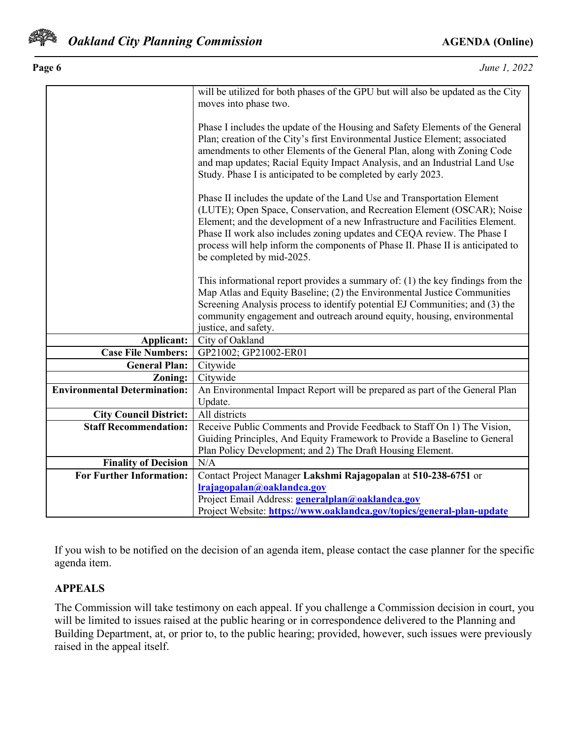

| Page 6 |       |               |                                                   | June 1, 2022 |
|--------|-------|---------------|---------------------------------------------------|--------------|
|        | .11.1 | $\cdots$<br>. | CNTI<br>$\cdot$ 11<br>$\mathcal{L}$ $\mathcal{L}$ | $\sim$       |

|  | June 1, 2022 |
|--|--------------|
|  |              |

|                                     | will be utilized for both phases of the GPU but will also be updated as the City |  |  |
|-------------------------------------|----------------------------------------------------------------------------------|--|--|
|                                     | moves into phase two.                                                            |  |  |
|                                     |                                                                                  |  |  |
|                                     | Phase I includes the update of the Housing and Safety Elements of the General    |  |  |
|                                     | Plan; creation of the City's first Environmental Justice Element; associated     |  |  |
|                                     | amendments to other Elements of the General Plan, along with Zoning Code         |  |  |
|                                     | and map updates; Racial Equity Impact Analysis, and an Industrial Land Use       |  |  |
|                                     | Study. Phase I is anticipated to be completed by early 2023.                     |  |  |
|                                     |                                                                                  |  |  |
|                                     | Phase II includes the update of the Land Use and Transportation Element          |  |  |
|                                     | (LUTE); Open Space, Conservation, and Recreation Element (OSCAR); Noise          |  |  |
|                                     | Element; and the development of a new Infrastructure and Facilities Element.     |  |  |
|                                     | Phase II work also includes zoning updates and CEQA review. The Phase I          |  |  |
|                                     | process will help inform the components of Phase II. Phase II is anticipated to  |  |  |
|                                     | be completed by mid-2025.                                                        |  |  |
|                                     |                                                                                  |  |  |
|                                     | This informational report provides a summary of: (1) the key findings from the   |  |  |
|                                     | Map Atlas and Equity Baseline; (2) the Environmental Justice Communities         |  |  |
|                                     | Screening Analysis process to identify potential EJ Communities; and (3) the     |  |  |
|                                     | community engagement and outreach around equity, housing, environmental          |  |  |
|                                     | justice, and safety.                                                             |  |  |
| Applicant:                          | City of Oakland                                                                  |  |  |
| <b>Case File Numbers:</b>           | GP21002; GP21002-ER01                                                            |  |  |
| <b>General Plan:</b>                | Citywide                                                                         |  |  |
| Zoning:                             | Citywide                                                                         |  |  |
| <b>Environmental Determination:</b> | An Environmental Impact Report will be prepared as part of the General Plan      |  |  |
|                                     | Update.                                                                          |  |  |
| <b>City Council District:</b>       | All districts                                                                    |  |  |
| <b>Staff Recommendation:</b>        | Receive Public Comments and Provide Feedback to Staff On 1) The Vision,          |  |  |
|                                     | Guiding Principles, And Equity Framework to Provide a Baseline to General        |  |  |
|                                     | Plan Policy Development; and 2) The Draft Housing Element.                       |  |  |
| <b>Finality of Decision</b>         | N/A                                                                              |  |  |
| <b>For Further Information:</b>     | Contact Project Manager Lakshmi Rajagopalan at 510-238-6751 or                   |  |  |
|                                     | Irajagopalan@oaklandca.gov                                                       |  |  |
|                                     | Project Email Address: generalplan@oaklandca.gov                                 |  |  |
|                                     | Project Website: https://www.oaklandca.gov/topics/general-plan-update            |  |  |

If you wish to be notified on the decision of an agenda item, please contact the case planner for the specific agenda item.

# **APPEALS**

The Commission will take testimony on each appeal. If you challenge a Commission decision in court, you will be limited to issues raised at the public hearing or in correspondence delivered to the Planning and Building Department, at, or prior to, to the public hearing; provided, however, such issues were previously raised in the appeal itself.